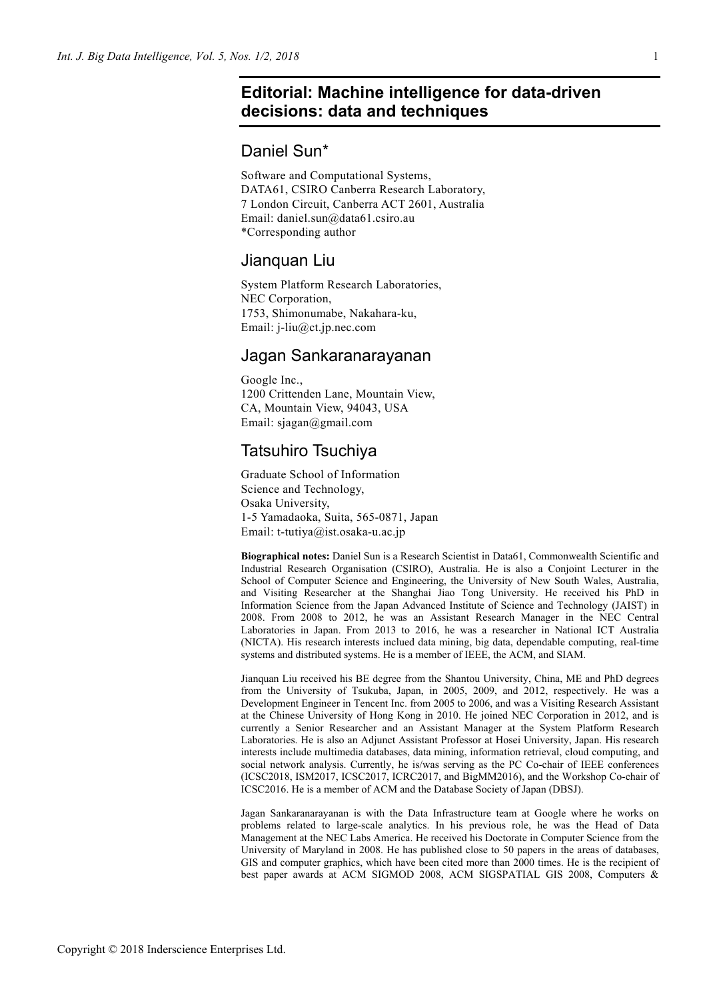# **Editorial: Machine intelligence for data-driven decisions: data and techniques**

## Daniel Sun\*

Software and Computational Systems, DATA61, CSIRO Canberra Research Laboratory, 7 London Circuit, Canberra ACT 2601, Australia Email: daniel.sun@data61.csiro.au \*Corresponding author

### Jianquan Liu

System Platform Research Laboratories, NEC Corporation, 1753, Shimonumabe, Nakahara-ku, Email: j-liu@ct.jp.nec.com

### Jagan Sankaranarayanan

Google Inc., 1200 Crittenden Lane, Mountain View, CA, Mountain View, 94043, USA Email: sjagan@gmail.com

## Tatsuhiro Tsuchiya

Graduate School of Information Science and Technology, Osaka University, 1-5 Yamadaoka, Suita, 565-0871, Japan Email: t-tutiya@ist.osaka-u.ac.jp

**Biographical notes:** Daniel Sun is a Research Scientist in Data61, Commonwealth Scientific and Industrial Research Organisation (CSIRO), Australia. He is also a Conjoint Lecturer in the School of Computer Science and Engineering, the University of New South Wales, Australia, and Visiting Researcher at the Shanghai Jiao Tong University. He received his PhD in Information Science from the Japan Advanced Institute of Science and Technology (JAIST) in 2008. From 2008 to 2012, he was an Assistant Research Manager in the NEC Central Laboratories in Japan. From 2013 to 2016, he was a researcher in National ICT Australia (NICTA). His research interests inclued data mining, big data, dependable computing, real-time systems and distributed systems. He is a member of IEEE, the ACM, and SIAM.

Jianquan Liu received his BE degree from the Shantou University, China, ME and PhD degrees from the University of Tsukuba, Japan, in 2005, 2009, and 2012, respectively. He was a Development Engineer in Tencent Inc. from 2005 to 2006, and was a Visiting Research Assistant at the Chinese University of Hong Kong in 2010. He joined NEC Corporation in 2012, and is currently a Senior Researcher and an Assistant Manager at the System Platform Research Laboratories. He is also an Adjunct Assistant Professor at Hosei University, Japan. His research interests include multimedia databases, data mining, information retrieval, cloud computing, and social network analysis. Currently, he is/was serving as the PC Co-chair of IEEE conferences (ICSC2018, ISM2017, ICSC2017, ICRC2017, and BigMM2016), and the Workshop Co-chair of ICSC2016. He is a member of ACM and the Database Society of Japan (DBSJ).

Jagan Sankaranarayanan is with the Data Infrastructure team at Google where he works on problems related to large-scale analytics. In his previous role, he was the Head of Data Management at the NEC Labs America. He received his Doctorate in Computer Science from the University of Maryland in 2008. He has published close to 50 papers in the areas of databases, GIS and computer graphics, which have been cited more than 2000 times. He is the recipient of best paper awards at ACM SIGMOD 2008, ACM SIGSPATIAL GIS 2008, Computers &